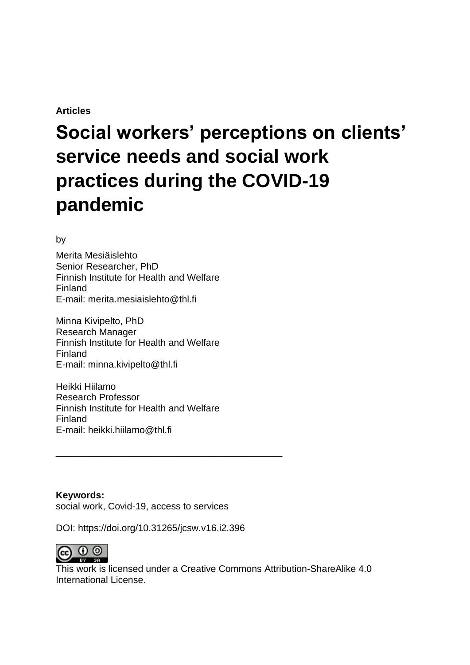#### **Articles**

# **Social workers' perceptions on clients' service needs and social work practices during the COVID-19 pandemic**

by

Merita Mesiäislehto Senior Researcher, PhD Finnish Institute for Health and Welfare Finland E-mail: merita.mesiaislehto@thl.fi

Minna Kivipelto, PhD Research Manager Finnish Institute for Health and Welfare Finland E-mail: minna.kivipelto@thl.fi

Heikki Hiilamo Research Professor Finnish Institute for Health and Welfare Finland E-mail: heikki.hiilamo@thl.fi

**Keywords:** social work, Covid-19, access to services

DOI: https://doi.org/10.31265/jcsw.v16.i2.396

\_\_\_\_\_\_\_\_\_\_\_\_\_\_\_\_\_\_\_\_\_\_\_\_\_\_\_\_\_\_\_\_\_\_\_\_\_\_\_\_\_\_\_



This work is licensed under a Creative Commons Attribution-ShareAlike 4.0 International License.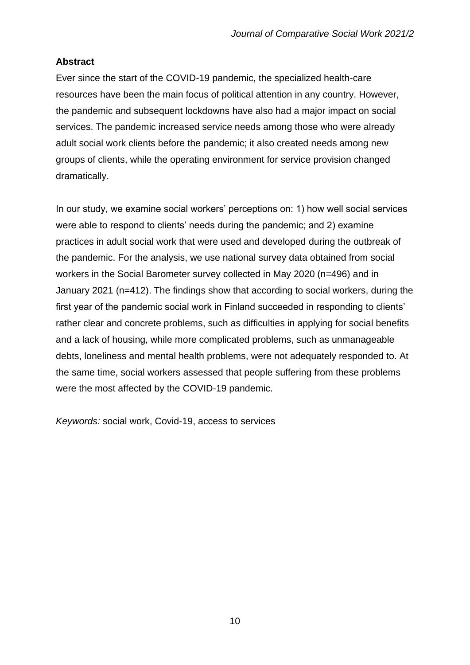## **Abstract**

Ever since the start of the COVID-19 pandemic, the specialized health-care resources have been the main focus of political attention in any country. However, the pandemic and subsequent lockdowns have also had a major impact on social services. The pandemic increased service needs among those who were already adult social work clients before the pandemic; it also created needs among new groups of clients, while the operating environment for service provision changed dramatically.

In our study, we examine social workers' perceptions on: 1) how well social services were able to respond to clients' needs during the pandemic; and 2) examine practices in adult social work that were used and developed during the outbreak of the pandemic. For the analysis, we use national survey data obtained from social workers in the Social Barometer survey collected in May 2020 (n=496) and in January 2021 (n=412). The findings show that according to social workers, during the first year of the pandemic social work in Finland succeeded in responding to clients' rather clear and concrete problems, such as difficulties in applying for social benefits and a lack of housing, while more complicated problems, such as unmanageable debts, loneliness and mental health problems, were not adequately responded to. At the same time, social workers assessed that people suffering from these problems were the most affected by the COVID-19 pandemic.

*Keywords:* social work, Covid-19, access to services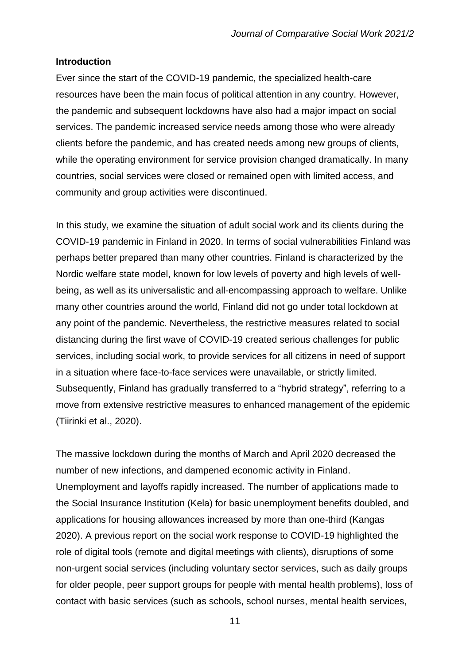#### **Introduction**

Ever since the start of the COVID-19 pandemic, the specialized health-care resources have been the main focus of political attention in any country. However, the pandemic and subsequent lockdowns have also had a major impact on social services. The pandemic increased service needs among those who were already clients before the pandemic, and has created needs among new groups of clients, while the operating environment for service provision changed dramatically. In many countries, social services were closed or remained open with limited access, and community and group activities were discontinued.

In this study, we examine the situation of adult social work and its clients during the COVID-19 pandemic in Finland in 2020. In terms of social vulnerabilities Finland was perhaps better prepared than many other countries. Finland is characterized by the Nordic welfare state model, known for low levels of poverty and high levels of wellbeing, as well as its universalistic and all-encompassing approach to welfare. Unlike many other countries around the world, Finland did not go under total lockdown at any point of the pandemic. Nevertheless, the restrictive measures related to social distancing during the first wave of COVID-19 created serious challenges for public services, including social work, to provide services for all citizens in need of support in a situation where face-to-face services were unavailable, or strictly limited. Subsequently, Finland has gradually transferred to a "hybrid strategy", referring to a move from extensive restrictive measures to enhanced management of the epidemic (Tiirinki et al., 2020).

The massive lockdown during the months of March and April 2020 decreased the number of new infections, and dampened economic activity in Finland. Unemployment and layoffs rapidly increased. The number of applications made to the Social Insurance Institution (Kela) for basic unemployment benefits doubled, and applications for housing allowances increased by more than one-third (Kangas 2020). A previous report on the social work response to COVID-19 highlighted the role of digital tools (remote and digital meetings with clients), disruptions of some non-urgent social services (including voluntary sector services, such as daily groups for older people, peer support groups for people with mental health problems), loss of contact with basic services (such as schools, school nurses, mental health services,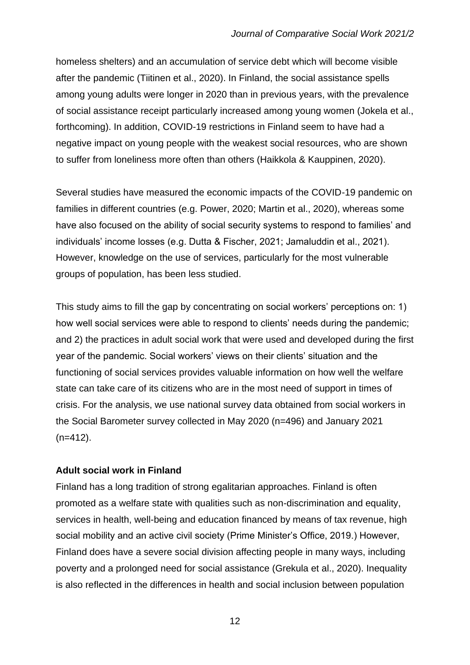homeless shelters) and an accumulation of service debt which will become visible after the pandemic (Tiitinen et al., 2020). In Finland, the social assistance spells among young adults were longer in 2020 than in previous years, with the prevalence of social assistance receipt particularly increased among young women (Jokela et al., forthcoming). In addition, COVID-19 restrictions in Finland seem to have had a negative impact on young people with the weakest social resources, who are shown to suffer from loneliness more often than others (Haikkola & Kauppinen, 2020).

Several studies have measured the economic impacts of the COVID-19 pandemic on families in different countries (e.g. Power, 2020; Martin et al., 2020), whereas some have also focused on the ability of social security systems to respond to families' and individuals' income losses (e.g. Dutta & Fischer, 2021; Jamaluddin et al., 2021). However, knowledge on the use of services, particularly for the most vulnerable groups of population, has been less studied.

This study aims to fill the gap by concentrating on social workers' perceptions on: 1) how well social services were able to respond to clients' needs during the pandemic; and 2) the practices in adult social work that were used and developed during the first year of the pandemic. Social workers' views on their clients' situation and the functioning of social services provides valuable information on how well the welfare state can take care of its citizens who are in the most need of support in times of crisis. For the analysis, we use national survey data obtained from social workers in the Social Barometer survey collected in May 2020 (n=496) and January 2021  $(n=412)$ .

### **Adult social work in Finland**

Finland has a long tradition of strong egalitarian approaches. Finland is often promoted as a welfare state with qualities such as non-discrimination and equality, services in health, well-being and education financed by means of tax revenue, high social mobility and an active civil society (Prime Minister's Office, 2019.) However, Finland does have a severe social division affecting people in many ways, including poverty and a prolonged need for social assistance (Grekula et al., 2020). Inequality is also reflected in the differences in health and social inclusion between population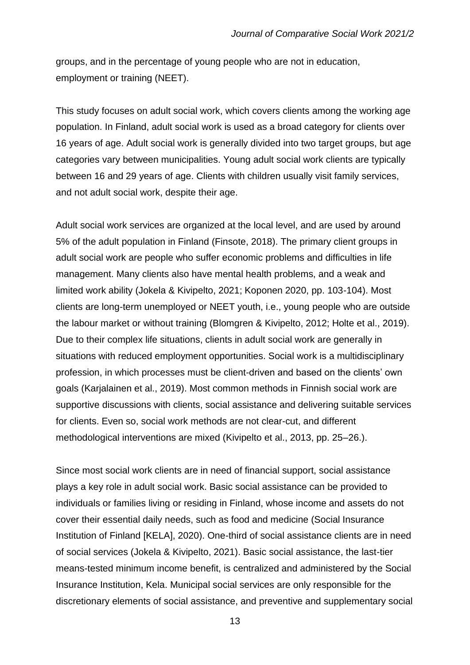groups, and in the percentage of young people who are not in education, employment or training (NEET).

This study focuses on adult social work, which covers clients among the working age population. In Finland, adult social work is used as a broad category for clients over 16 years of age. Adult social work is generally divided into two target groups, but age categories vary between municipalities. Young adult social work clients are typically between 16 and 29 years of age. Clients with children usually visit family services, and not adult social work, despite their age.

Adult social work services are organized at the local level, and are used by around 5% of the adult population in Finland (Finsote, 2018). The primary client groups in adult social work are people who suffer economic problems and difficulties in life management. Many clients also have mental health problems, and a weak and limited work ability (Jokela & Kivipelto, 2021; Koponen 2020, pp. 103-104). Most clients are long-term unemployed or NEET youth, i.e., young people who are outside the labour market or without training (Blomgren & Kivipelto, 2012; Holte et al., 2019). Due to their complex life situations, clients in adult social work are generally in situations with reduced employment opportunities. Social work is a multidisciplinary profession, in which processes must be client-driven and based on the clients' own goals (Karjalainen et al., 2019). Most common methods in Finnish social work are supportive discussions with clients, social assistance and delivering suitable services for clients. Even so, social work methods are not clear-cut, and different methodological interventions are mixed (Kivipelto et al., 2013, pp. 25–26.).

Since most social work clients are in need of financial support, social assistance plays a key role in adult social work. Basic social assistance can be provided to individuals or families living or residing in Finland, whose income and assets do not cover their essential daily needs, such as food and medicine (Social Insurance Institution of Finland [KELA], 2020). One-third of social assistance clients are in need of social services (Jokela & Kivipelto, 2021). Basic social assistance, the last-tier means-tested minimum income benefit, is centralized and administered by the Social Insurance Institution, Kela. Municipal social services are only responsible for the discretionary elements of social assistance, and preventive and supplementary social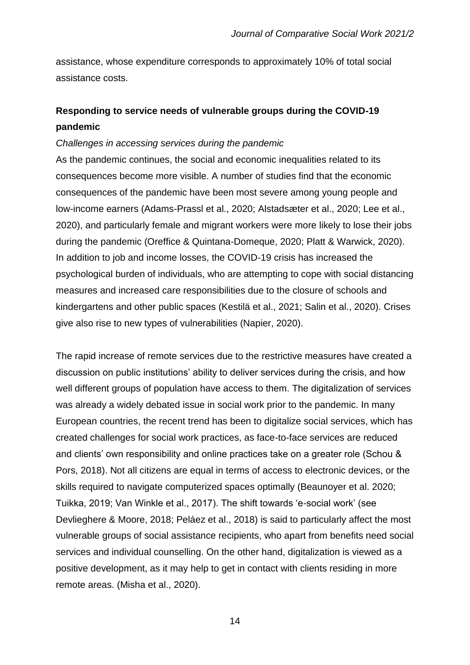assistance, whose expenditure corresponds to approximately 10% of total social assistance costs.

# **Responding to service needs of vulnerable groups during the COVID-19 pandemic**

#### *Challenges in accessing services during the pandemic*

As the pandemic continues, the social and economic inequalities related to its consequences become more visible. A number of studies find that the economic consequences of the pandemic have been most severe among young people and low-income earners (Adams-Prassl et al., 2020; Alstadsæter et al., 2020; Lee et al., 2020), and particularly female and migrant workers were more likely to lose their jobs during the pandemic (Oreffice & Quintana-Domeque, 2020; Platt & Warwick, 2020). In addition to job and income losses, the COVID-19 crisis has increased the psychological burden of individuals, who are attempting to cope with social distancing measures and increased care responsibilities due to the closure of schools and kindergartens and other public spaces (Kestilä et al., 2021; Salin et al., 2020). Crises give also rise to new types of vulnerabilities (Napier, 2020).

The rapid increase of remote services due to the restrictive measures have created a discussion on public institutions' ability to deliver services during the crisis, and how well different groups of population have access to them. The digitalization of services was already a widely debated issue in social work prior to the pandemic. In many European countries, the recent trend has been to digitalize social services, which has created challenges for social work practices, as face-to-face services are reduced and clients' own responsibility and online practices take on a greater role (Schou & Pors, 2018). Not all citizens are equal in terms of access to electronic devices, or the skills required to navigate computerized spaces optimally (Beaunoyer et al. 2020; Tuikka, 2019; Van Winkle et al., 2017). The shift towards 'e-social work' (see Devlieghere & Moore, 2018; Peláez et al., 2018) is said to particularly affect the most vulnerable groups of social assistance recipients, who apart from benefits need social services and individual counselling. On the other hand, digitalization is viewed as a positive development, as it may help to get in contact with clients residing in more remote areas. (Misha et al., 2020).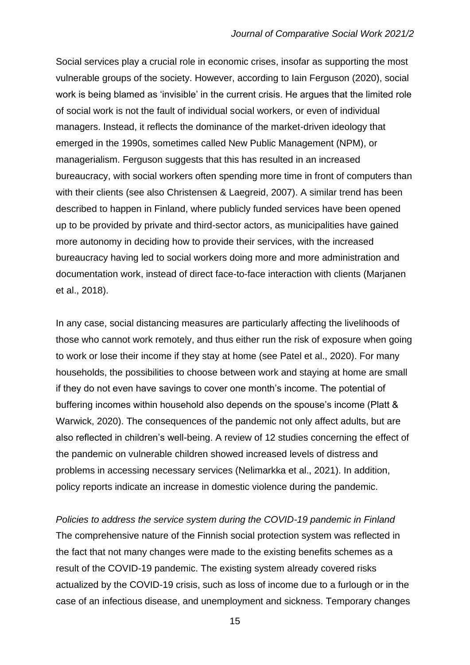Social services play a crucial role in economic crises, insofar as supporting the most vulnerable groups of the society. However, according to Iain Ferguson (2020), social work is being blamed as 'invisible' in the current crisis. He argues that the limited role of social work is not the fault of individual social workers, or even of individual managers. Instead, it reflects the dominance of the market-driven ideology that emerged in the 1990s, sometimes called New Public Management (NPM), or managerialism. Ferguson suggests that this has resulted in an increased bureaucracy, with social workers often spending more time in front of computers than with their clients (see also Christensen & Laegreid, 2007). A similar trend has been described to happen in Finland, where publicly funded services have been opened up to be provided by private and third-sector actors, as municipalities have gained more autonomy in deciding how to provide their services, with the increased bureaucracy having led to social workers doing more and more administration and documentation work, instead of direct face-to-face interaction with clients (Marjanen et al., 2018).

In any case, social distancing measures are particularly affecting the livelihoods of those who cannot work remotely, and thus either run the risk of exposure when going to work or lose their income if they stay at home (see Patel et al., 2020). For many households, the possibilities to choose between work and staying at home are small if they do not even have savings to cover one month's income. The potential of buffering incomes within household also depends on the spouse's income (Platt & Warwick, 2020). The consequences of the pandemic not only affect adults, but are also reflected in children's well-being. A review of 12 studies concerning the effect of the pandemic on vulnerable children showed increased levels of distress and problems in accessing necessary services (Nelimarkka et al., 2021). In addition, policy reports indicate an increase in domestic violence during the pandemic.

*Policies to address the service system during the COVID-19 pandemic in Finland* The comprehensive nature of the Finnish social protection system was reflected in the fact that not many changes were made to the existing benefits schemes as a result of the COVID-19 pandemic. The existing system already covered risks actualized by the COVID-19 crisis, such as loss of income due to a furlough or in the case of an infectious disease, and unemployment and sickness. Temporary changes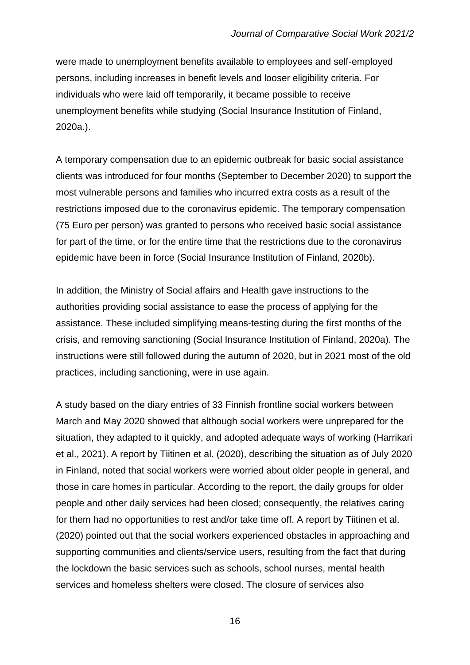were made to unemployment benefits available to employees and self-employed persons, including increases in benefit levels and looser eligibility criteria. For individuals who were laid off temporarily, it became possible to receive unemployment benefits while studying (Social Insurance Institution of Finland, 2020a.).

A temporary compensation due to an epidemic outbreak for basic social assistance clients was introduced for four months (September to December 2020) to support the most vulnerable persons and families who incurred extra costs as a result of the restrictions imposed due to the coronavirus epidemic. The temporary compensation (75 Euro per person) was granted to persons who received basic social assistance for part of the time, or for the entire time that the restrictions due to the coronavirus epidemic have been in force (Social Insurance Institution of Finland, 2020b).

In addition, the Ministry of Social affairs and Health gave instructions to the authorities providing social assistance to ease the process of applying for the assistance. These included simplifying means-testing during the first months of the crisis, and removing sanctioning (Social Insurance Institution of Finland, 2020a). The instructions were still followed during the autumn of 2020, but in 2021 most of the old practices, including sanctioning, were in use again.

A study based on the diary entries of 33 Finnish frontline social workers between March and May 2020 showed that although social workers were unprepared for the situation, they adapted to it quickly, and adopted adequate ways of working (Harrikari et al., 2021). A report by Tiitinen et al. (2020), describing the situation as of July 2020 in Finland, noted that social workers were worried about older people in general, and those in care homes in particular. According to the report, the daily groups for older people and other daily services had been closed; consequently, the relatives caring for them had no opportunities to rest and/or take time off. A report by Tiitinen et al. (2020) pointed out that the social workers experienced obstacles in approaching and supporting communities and clients/service users, resulting from the fact that during the lockdown the basic services such as schools, school nurses, mental health services and homeless shelters were closed. The closure of services also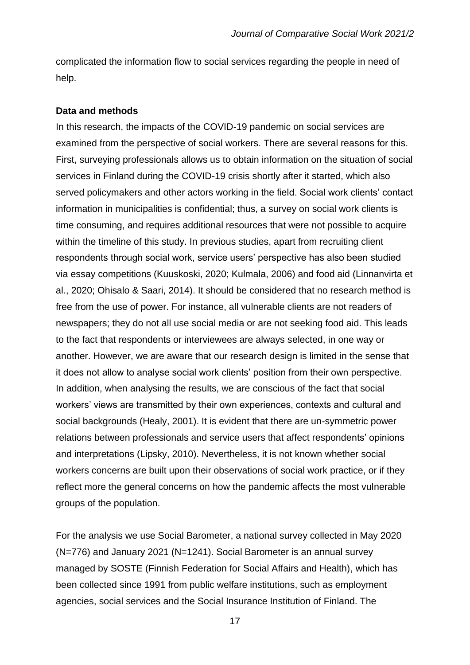complicated the information flow to social services regarding the people in need of help.

#### **Data and methods**

In this research, the impacts of the COVID-19 pandemic on social services are examined from the perspective of social workers. There are several reasons for this. First, surveying professionals allows us to obtain information on the situation of social services in Finland during the COVID-19 crisis shortly after it started, which also served policymakers and other actors working in the field. Social work clients' contact information in municipalities is confidential; thus, a survey on social work clients is time consuming, and requires additional resources that were not possible to acquire within the timeline of this study. In previous studies, apart from recruiting client respondents through social work, service users' perspective has also been studied via essay competitions (Kuuskoski, 2020; Kulmala, 2006) and food aid (Linnanvirta et al., 2020; Ohisalo & Saari, 2014). It should be considered that no research method is free from the use of power. For instance, all vulnerable clients are not readers of newspapers; they do not all use social media or are not seeking food aid. This leads to the fact that respondents or interviewees are always selected, in one way or another. However, we are aware that our research design is limited in the sense that it does not allow to analyse social work clients' position from their own perspective. In addition, when analysing the results, we are conscious of the fact that social workers' views are transmitted by their own experiences, contexts and cultural and social backgrounds (Healy, 2001). It is evident that there are un-symmetric power relations between professionals and service users that affect respondents' opinions and interpretations (Lipsky, 2010). Nevertheless, it is not known whether social workers concerns are built upon their observations of social work practice, or if they reflect more the general concerns on how the pandemic affects the most vulnerable groups of the population.

For the analysis we use Social Barometer, a national survey collected in May 2020 (N=776) and January 2021 (N=1241). Social Barometer is an annual survey managed by SOSTE (Finnish Federation for Social Affairs and Health), which has been collected since 1991 from public welfare institutions, such as employment agencies, social services and the Social Insurance Institution of Finland. The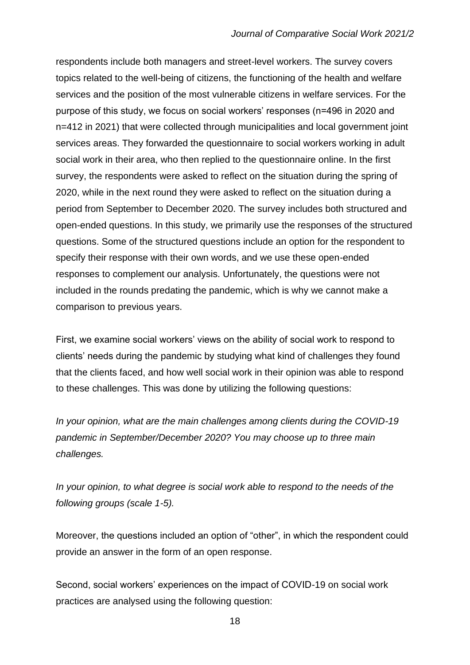respondents include both managers and street-level workers. The survey covers topics related to the well-being of citizens, the functioning of the health and welfare services and the position of the most vulnerable citizens in welfare services. For the purpose of this study, we focus on social workers' responses (n=496 in 2020 and n=412 in 2021) that were collected through municipalities and local government joint services areas. They forwarded the questionnaire to social workers working in adult social work in their area, who then replied to the questionnaire online. In the first survey, the respondents were asked to reflect on the situation during the spring of 2020, while in the next round they were asked to reflect on the situation during a period from September to December 2020. The survey includes both structured and open-ended questions. In this study, we primarily use the responses of the structured questions. Some of the structured questions include an option for the respondent to specify their response with their own words, and we use these open-ended responses to complement our analysis. Unfortunately, the questions were not included in the rounds predating the pandemic, which is why we cannot make a comparison to previous years.

First, we examine social workers' views on the ability of social work to respond to clients' needs during the pandemic by studying what kind of challenges they found that the clients faced, and how well social work in their opinion was able to respond to these challenges. This was done by utilizing the following questions:

*In your opinion, what are the main challenges among clients during the COVID-19 pandemic in September/December 2020? You may choose up to three main challenges.*

In your opinion, to what degree is social work able to respond to the needs of the *following groups (scale 1-5).*

Moreover, the questions included an option of "other", in which the respondent could provide an answer in the form of an open response.

Second, social workers' experiences on the impact of COVID-19 on social work practices are analysed using the following question: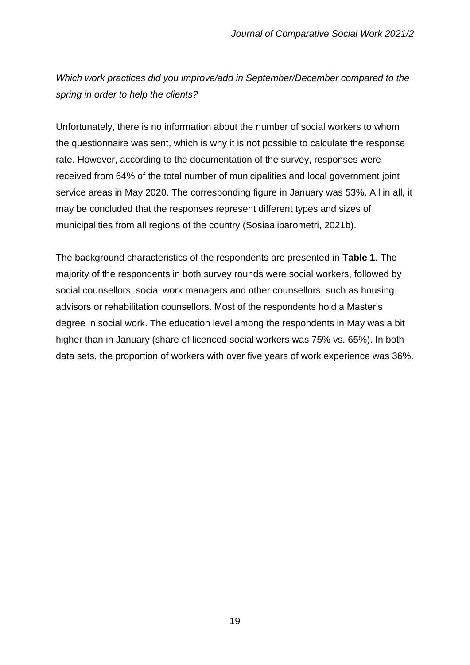*Which work practices did you improve/add in September/December compared to the spring in order to help the clients?* 

Unfortunately, there is no information about the number of social workers to whom the questionnaire was sent, which is why it is not possible to calculate the response rate. However, according to the documentation of the survey, responses were received from 64% of the total number of municipalities and local government joint service areas in May 2020. The corresponding figure in January was 53%. All in all, it may be concluded that the responses represent different types and sizes of municipalities from all regions of the country (Sosiaalibarometri, 2021b).

The background characteristics of the respondents are presented in **Table 1**. The majority of the respondents in both survey rounds were social workers, followed by social counsellors, social work managers and other counsellors, such as housing advisors or rehabilitation counsellors. Most of the respondents hold a Master's degree in social work. The education level among the respondents in May was a bit higher than in January (share of licenced social workers was 75% vs. 65%). In both data sets, the proportion of workers with over five years of work experience was 36%.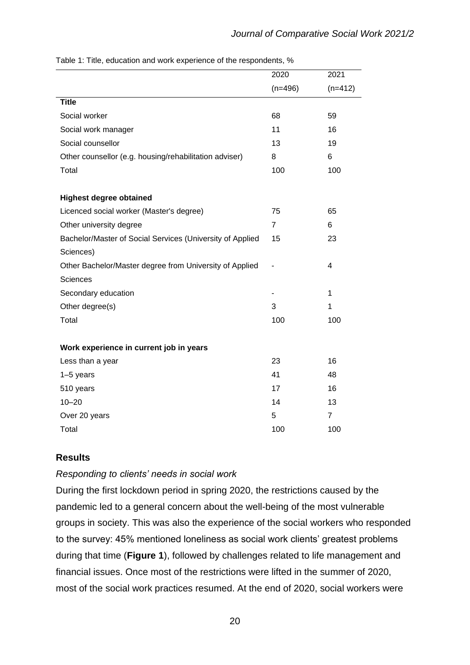|                                                           | 2020           | 2021           |
|-----------------------------------------------------------|----------------|----------------|
|                                                           | $(n=496)$      | $(n=412)$      |
| <b>Title</b>                                              |                |                |
| Social worker                                             | 68             | 59             |
| Social work manager                                       | 11             | 16             |
| Social counsellor                                         | 13             | 19             |
| Other counsellor (e.g. housing/rehabilitation adviser)    | 8              | 6              |
| Total                                                     | 100            | 100            |
| <b>Highest degree obtained</b>                            |                |                |
| Licenced social worker (Master's degree)                  | 75             | 65             |
| Other university degree                                   | $\overline{7}$ | 6              |
| Bachelor/Master of Social Services (University of Applied | 15             | 23             |
| Sciences)                                                 |                |                |
| Other Bachelor/Master degree from University of Applied   |                | 4              |
| <b>Sciences</b>                                           |                |                |
| Secondary education                                       |                | 1              |
| Other degree(s)                                           | 3              | 1              |
| Total                                                     | 100            | 100            |
| Work experience in current job in years                   |                |                |
| Less than a year                                          | 23             | 16             |
| $1-5$ years                                               | 41             | 48             |
| 510 years                                                 | 17             | 16             |
| $10 - 20$                                                 | 14             | 13             |
| Over 20 years                                             | 5              | $\overline{7}$ |
| Total                                                     | 100            | 100            |

Table 1: Title, education and work experience of the respondents, %

#### **Results**

#### *Responding to clients' needs in social work*

During the first lockdown period in spring 2020, the restrictions caused by the pandemic led to a general concern about the well-being of the most vulnerable groups in society. This was also the experience of the social workers who responded to the survey: 45% mentioned loneliness as social work clients' greatest problems during that time (**Figure 1**), followed by challenges related to life management and financial issues. Once most of the restrictions were lifted in the summer of 2020, most of the social work practices resumed. At the end of 2020, social workers were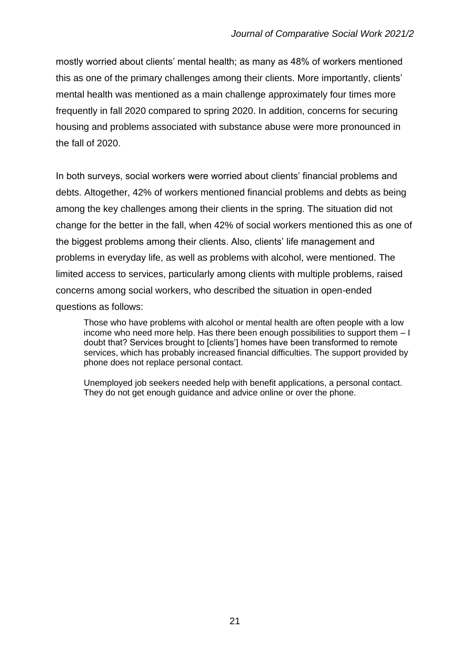mostly worried about clients' mental health; as many as 48% of workers mentioned this as one of the primary challenges among their clients. More importantly, clients' mental health was mentioned as a main challenge approximately four times more frequently in fall 2020 compared to spring 2020. In addition, concerns for securing housing and problems associated with substance abuse were more pronounced in the fall of 2020.

In both surveys, social workers were worried about clients' financial problems and debts. Altogether, 42% of workers mentioned financial problems and debts as being among the key challenges among their clients in the spring. The situation did not change for the better in the fall, when 42% of social workers mentioned this as one of the biggest problems among their clients. Also, clients' life management and problems in everyday life, as well as problems with alcohol, were mentioned. The limited access to services, particularly among clients with multiple problems, raised concerns among social workers, who described the situation in open-ended questions as follows:

Those who have problems with alcohol or mental health are often people with a low income who need more help. Has there been enough possibilities to support them – I doubt that? Services brought to [clients'] homes have been transformed to remote services, which has probably increased financial difficulties. The support provided by phone does not replace personal contact.

Unemployed job seekers needed help with benefit applications, a personal contact. They do not get enough guidance and advice online or over the phone.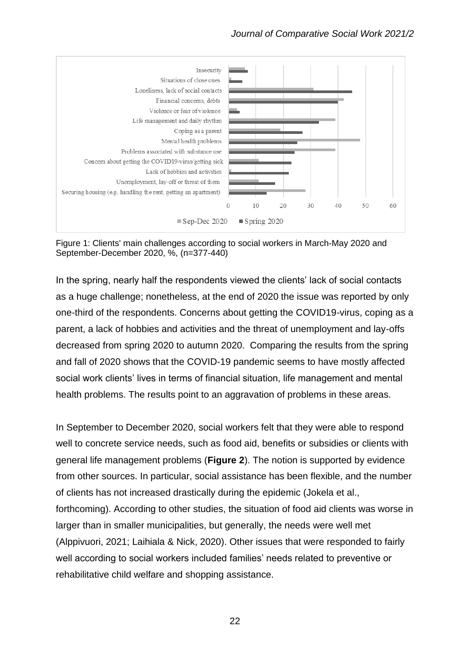

Figure 1: Clients' main challenges according to social workers in March-May 2020 and September-December 2020, %, (n=377-440)

In the spring, nearly half the respondents viewed the clients' lack of social contacts as a huge challenge; nonetheless, at the end of 2020 the issue was reported by only one-third of the respondents. Concerns about getting the COVID19-virus, coping as a parent, a lack of hobbies and activities and the threat of unemployment and lay-offs decreased from spring 2020 to autumn 2020. Comparing the results from the spring and fall of 2020 shows that the COVID-19 pandemic seems to have mostly affected social work clients' lives in terms of financial situation, life management and mental health problems. The results point to an aggravation of problems in these areas.

In September to December 2020, social workers felt that they were able to respond well to concrete service needs, such as food aid, benefits or subsidies or clients with general life management problems (**Figure 2**). The notion is supported by evidence from other sources. In particular, social assistance has been flexible, and the number of clients has not increased drastically during the epidemic (Jokela et al., forthcoming). According to other studies, the situation of food aid clients was worse in larger than in smaller municipalities, but generally, the needs were well met (Alppivuori, 2021; Laihiala & Nick, 2020). Other issues that were responded to fairly well according to social workers included families' needs related to preventive or rehabilitative child welfare and shopping assistance.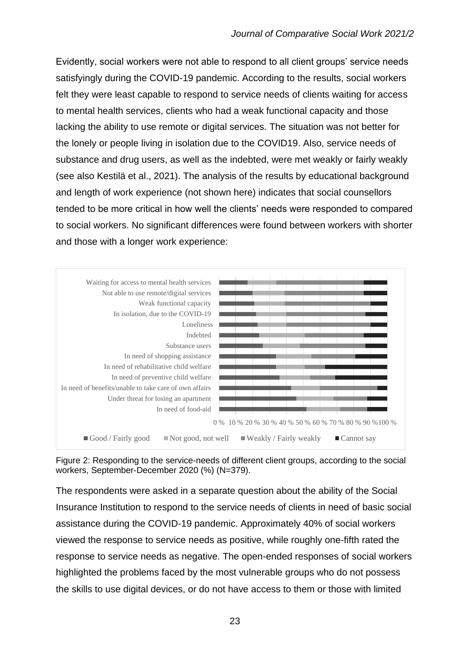Evidently, social workers were not able to respond to all client groups' service needs satisfyingly during the COVID-19 pandemic. According to the results, social workers felt they were least capable to respond to service needs of clients waiting for access to mental health services, clients who had a weak functional capacity and those lacking the ability to use remote or digital services. The situation was not better for the lonely or people living in isolation due to the COVID19. Also, service needs of substance and drug users, as well as the indebted, were met weakly or fairly weakly (see also Kestilä et al., 2021). The analysis of the results by educational background and length of work experience (not shown here) indicates that social counsellors tended to be more critical in how well the clients' needs were responded to compared to social workers. No significant differences were found between workers with shorter and those with a longer work experience:



Figure 2: Responding to the service-needs of different client groups, according to the social workers, September-December 2020 (%) (N=379).

The respondents were asked in a separate question about the ability of the Social Insurance Institution to respond to the service needs of clients in need of basic social assistance during the COVID-19 pandemic. Approximately 40% of social workers viewed the response to service needs as positive, while roughly one-fifth rated the response to service needs as negative. The open-ended responses of social workers highlighted the problems faced by the most vulnerable groups who do not possess the skills to use digital devices, or do not have access to them or those with limited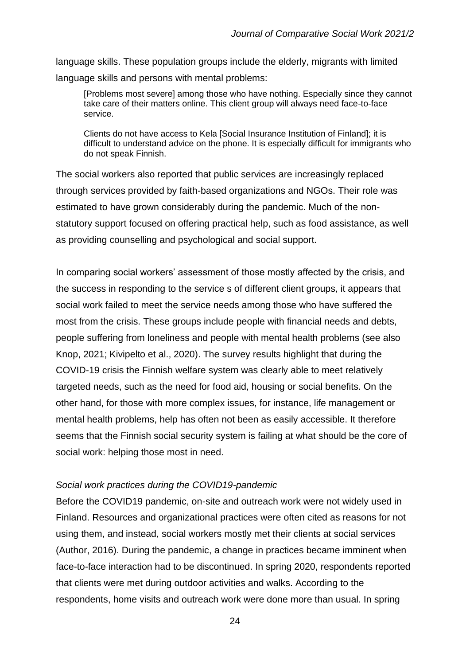language skills. These population groups include the elderly, migrants with limited language skills and persons with mental problems:

[Problems most severe] among those who have nothing. Especially since they cannot take care of their matters online. This client group will always need face-to-face service.

Clients do not have access to Kela [Social Insurance Institution of Finland]; it is difficult to understand advice on the phone. It is especially difficult for immigrants who do not speak Finnish.

The social workers also reported that public services are increasingly replaced through services provided by faith-based organizations and NGOs. Their role was estimated to have grown considerably during the pandemic. Much of the nonstatutory support focused on offering practical help, such as food assistance, as well as providing counselling and psychological and social support.

In comparing social workers' assessment of those mostly affected by the crisis, and the success in responding to the service s of different client groups, it appears that social work failed to meet the service needs among those who have suffered the most from the crisis. These groups include people with financial needs and debts, people suffering from loneliness and people with mental health problems (see also Knop, 2021; Kivipelto et al., 2020). The survey results highlight that during the COVID-19 crisis the Finnish welfare system was clearly able to meet relatively targeted needs, such as the need for food aid, housing or social benefits. On the other hand, for those with more complex issues, for instance, life management or mental health problems, help has often not been as easily accessible. It therefore seems that the Finnish social security system is failing at what should be the core of social work: helping those most in need.

#### *Social work practices during the COVID19-pandemic*

Before the COVID19 pandemic, on-site and outreach work were not widely used in Finland. Resources and organizational practices were often cited as reasons for not using them, and instead, social workers mostly met their clients at social services (Author, 2016). During the pandemic, a change in practices became imminent when face-to-face interaction had to be discontinued. In spring 2020, respondents reported that clients were met during outdoor activities and walks. According to the respondents, home visits and outreach work were done more than usual. In spring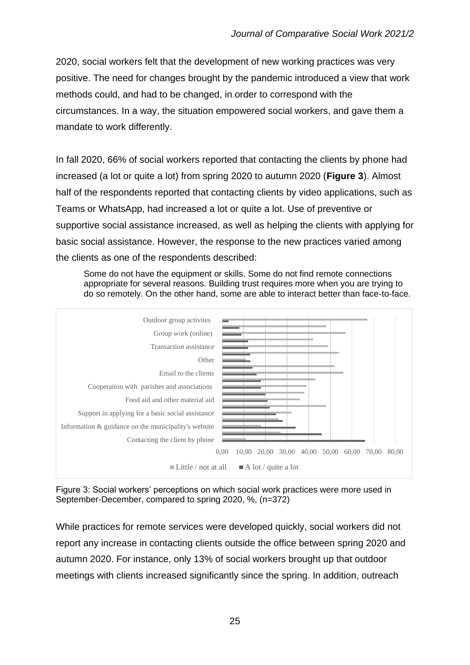2020, social workers felt that the development of new working practices was very positive. The need for changes brought by the pandemic introduced a view that work methods could, and had to be changed, in order to correspond with the circumstances. In a way, the situation empowered social workers, and gave them a mandate to work differently.

In fall 2020, 66% of social workers reported that contacting the clients by phone had increased (a lot or quite a lot) from spring 2020 to autumn 2020 (**Figure 3**). Almost half of the respondents reported that contacting clients by video applications, such as Teams or WhatsApp, had increased a lot or quite a lot. Use of preventive or supportive social assistance increased, as well as helping the clients with applying for basic social assistance. However, the response to the new practices varied among the clients as one of the respondents described:

Some do not have the equipment or skills. Some do not find remote connections appropriate for several reasons. Building trust requires more when you are trying to do so remotely. On the other hand, some are able to interact better than face-to-face.



Figure 3: Social workers' perceptions on which social work practices were more used in September-December, compared to spring 2020, %, (n=372)

While practices for remote services were developed quickly, social workers did not report any increase in contacting clients outside the office between spring 2020 and autumn 2020. For instance, only 13% of social workers brought up that outdoor meetings with clients increased significantly since the spring. In addition, outreach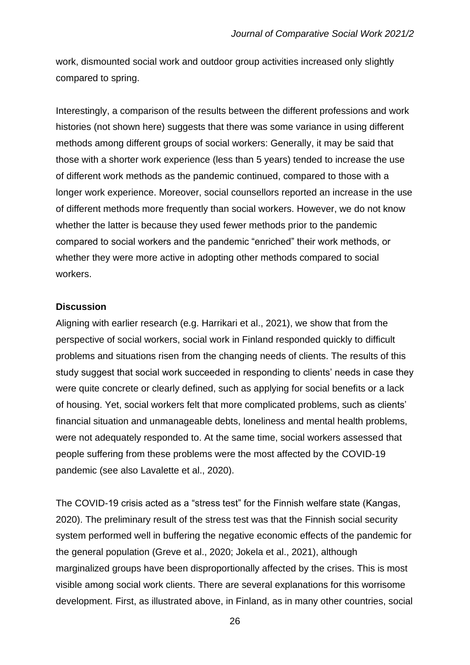work, dismounted social work and outdoor group activities increased only slightly compared to spring.

Interestingly, a comparison of the results between the different professions and work histories (not shown here) suggests that there was some variance in using different methods among different groups of social workers: Generally, it may be said that those with a shorter work experience (less than 5 years) tended to increase the use of different work methods as the pandemic continued, compared to those with a longer work experience. Moreover, social counsellors reported an increase in the use of different methods more frequently than social workers. However, we do not know whether the latter is because they used fewer methods prior to the pandemic compared to social workers and the pandemic "enriched" their work methods, or whether they were more active in adopting other methods compared to social workers.

#### **Discussion**

Aligning with earlier research (e.g. Harrikari et al., 2021), we show that from the perspective of social workers, social work in Finland responded quickly to difficult problems and situations risen from the changing needs of clients. The results of this study suggest that social work succeeded in responding to clients' needs in case they were quite concrete or clearly defined, such as applying for social benefits or a lack of housing. Yet, social workers felt that more complicated problems, such as clients' financial situation and unmanageable debts, loneliness and mental health problems, were not adequately responded to. At the same time, social workers assessed that people suffering from these problems were the most affected by the COVID-19 pandemic (see also Lavalette et al., 2020).

The COVID-19 crisis acted as a "stress test" for the Finnish welfare state (Kangas, 2020). The preliminary result of the stress test was that the Finnish social security system performed well in buffering the negative economic effects of the pandemic for the general population (Greve et al., 2020; Jokela et al., 2021), although marginalized groups have been disproportionally affected by the crises. This is most visible among social work clients. There are several explanations for this worrisome development. First, as illustrated above, in Finland, as in many other countries, social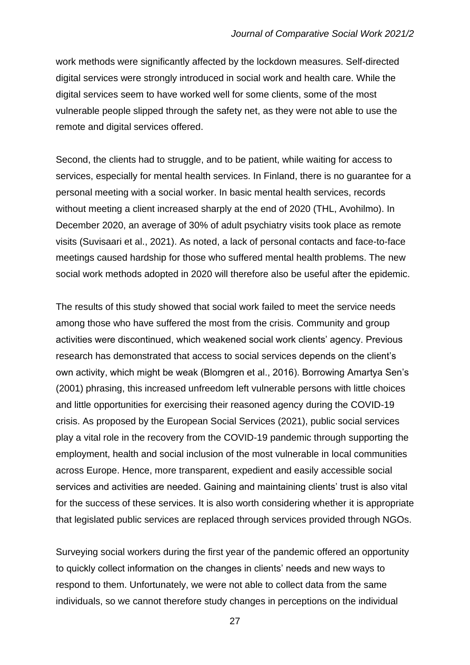work methods were significantly affected by the lockdown measures. Self-directed digital services were strongly introduced in social work and health care. While the digital services seem to have worked well for some clients, some of the most vulnerable people slipped through the safety net, as they were not able to use the remote and digital services offered.

Second, the clients had to struggle, and to be patient, while waiting for access to services, especially for mental health services. In Finland, there is no guarantee for a personal meeting with a social worker. In basic mental health services, records without meeting a client increased sharply at the end of 2020 (THL, Avohilmo). In December 2020, an average of 30% of adult psychiatry visits took place as remote visits (Suvisaari et al., 2021). As noted, a lack of personal contacts and face-to-face meetings caused hardship for those who suffered mental health problems. The new social work methods adopted in 2020 will therefore also be useful after the epidemic.

The results of this study showed that social work failed to meet the service needs among those who have suffered the most from the crisis. Community and group activities were discontinued, which weakened social work clients' agency. Previous research has demonstrated that access to social services depends on the client's own activity, which might be weak (Blomgren et al., 2016). Borrowing Amartya Sen's (2001) phrasing, this increased unfreedom left vulnerable persons with little choices and little opportunities for exercising their reasoned agency during the COVID-19 crisis. As proposed by the European Social Services (2021), public social services play a vital role in the recovery from the COVID-19 pandemic through supporting the employment, health and social inclusion of the most vulnerable in local communities across Europe. Hence, more transparent, expedient and easily accessible social services and activities are needed. Gaining and maintaining clients' trust is also vital for the success of these services. It is also worth considering whether it is appropriate that legislated public services are replaced through services provided through NGOs.

Surveying social workers during the first year of the pandemic offered an opportunity to quickly collect information on the changes in clients' needs and new ways to respond to them. Unfortunately, we were not able to collect data from the same individuals, so we cannot therefore study changes in perceptions on the individual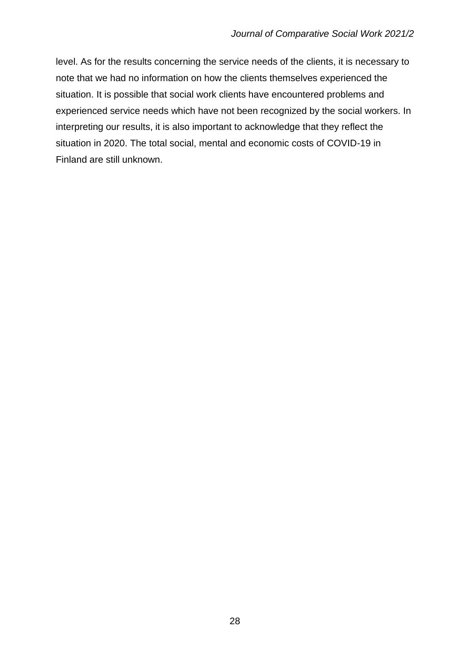level. As for the results concerning the service needs of the clients, it is necessary to note that we had no information on how the clients themselves experienced the situation. It is possible that social work clients have encountered problems and experienced service needs which have not been recognized by the social workers. In interpreting our results, it is also important to acknowledge that they reflect the situation in 2020. The total social, mental and economic costs of COVID-19 in Finland are still unknown.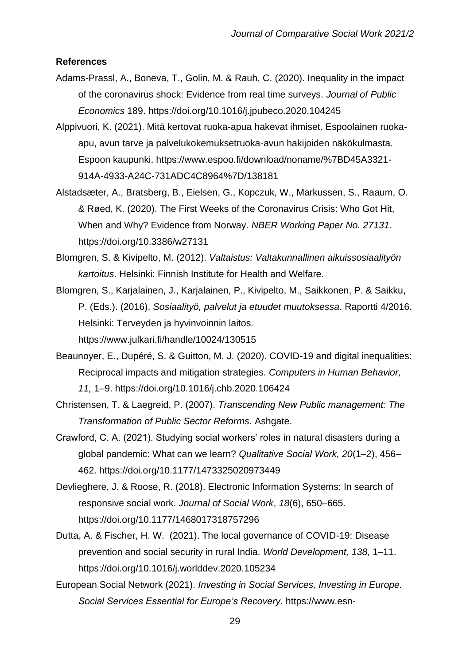#### **References**

- Adams-Prassl, A., Boneva, T., Golin, M. & Rauh, C. (2020). Inequality in the impact of the coronavirus shock: Evidence from real time surveys. *Journal of Public Economics* 189. https://doi.org/10.1016/j.jpubeco.2020.104245
- Alppivuori, K. (2021). Mitä kertovat ruoka-apua hakevat ihmiset. Espoolainen ruokaapu, avun tarve ja palvelukokemuksetruoka-avun hakijoiden näkökulmasta. Espoon kaupunki. https://www.espoo.fi/download/noname/%7BD45A3321- 914A-4933-A24C-731ADC4C8964%7D/138181
- Alstadsæter, A., Bratsberg, B., Eielsen, G., Kopczuk, W., Markussen, S., Raaum, O. & Røed, K. (2020). The First Weeks of the Coronavirus Crisis: Who Got Hit, When and Why? Evidence from Norway. *NBER Working Paper No. 27131*. https://doi.org/10.3386/w27131
- Blomgren, S. & Kivipelto, M. (2012). *Valtaistus: Valtakunnallinen aikuissosiaalityön kartoitus*. Helsinki: Finnish Institute for Health and Welfare.
- Blomgren, S., Karjalainen, J., Karjalainen, P., Kivipelto, M., Saikkonen, P. & Saikku, P. (Eds.). (2016). *Sosiaalityö, palvelut ja etuudet muutoksessa*. Raportti 4/2016. Helsinki: Terveyden ja hyvinvoinnin laitos. https://www.julkari.fi/handle/10024/130515
- Beaunoyer, E., Dupéré, S. & Guitton, M. J. (2020). COVID-19 and digital inequalities: Reciprocal impacts and mitigation strategies. *Computers in Human Behavior, 11,* 1–9. https://doi.org/10.1016/j.chb.2020.106424
- Christensen, T. & Laegreid, P. (2007). *Transcending New Public management: The Transformation of Public Sector Reforms*. Ashgate.
- Crawford, C. A. (2021). Studying social workers' roles in natural disasters during a global pandemic: What can we learn? *Qualitative Social Work, 20*(1–2), 456– 462. https://doi.org/10.1177/1473325020973449
- Devlieghere, J. & Roose, R. (2018). Electronic Information Systems: In search of responsive social work. *Journal of Social Work*, *18*(6), 650–665. https://doi.org/10.1177/1468017318757296
- Dutta, A. & Fischer, H. W. (2021). The local governance of COVID-19: Disease prevention and social security in rural India. *World Development, 138,* 1–11. https://doi.org/10.1016/j.worlddev.2020.105234
- European Social Network (2021). *Investing in Social Services, Investing in Europe. Social Services Essential for Europe's Recovery*. https://www.esn-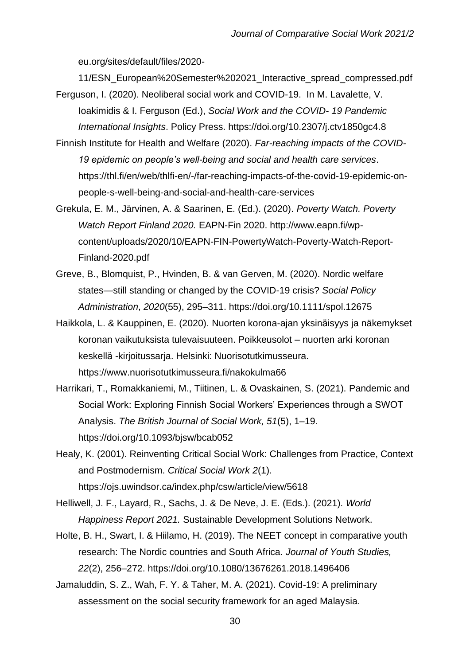eu.org/sites/default/files/2020-

11/ESN\_European%20Semester%202021\_Interactive\_spread\_compressed.pdf

- Ferguson, I. (2020). Neoliberal social work and COVID-19. In M. Lavalette, V. Ioakimidis & I. Ferguson (Ed.), *Social Work and the COVID- 19 Pandemic International Insights*. Policy Press. https://doi.org/10.2307/j.ctv1850gc4.8
- Finnish Institute for Health and Welfare (2020). *Far-reaching impacts of the COVID-19 epidemic on people's well-being and social and health care services*. https://thl.fi/en/web/thlfi-en/-/far-reaching-impacts-of-the-covid-19-epidemic-onpeople-s-well-being-and-social-and-health-care-services
- Grekula, E. M., Järvinen, A. & Saarinen, E. (Ed.). (2020). *Poverty Watch. Poverty Watch Report Finland 2020.* EAPN-Fin 2020. http://www.eapn.fi/wpcontent/uploads/2020/10/EAPN-FIN-PowertyWatch-Poverty-Watch-Report-Finland-2020.pdf
- Greve, B., Blomquist, P., Hvinden, B. & van Gerven, M. (2020). Nordic welfare states—still standing or changed by the COVID-19 crisis? *Social Policy Administration*, *2020*(55), 295–311. https://doi.org/10.1111/spol.12675
- Haikkola, L. & Kauppinen, E. (2020). Nuorten korona-ajan yksinäisyys ja näkemykset koronan vaikutuksista tulevaisuuteen. Poikkeusolot – nuorten arki koronan keskellä -kirjoitussarja. Helsinki: Nuorisotutkimusseura. https://www.nuorisotutkimusseura.fi/nakokulma66
- Harrikari, T., Romakkaniemi, M., Tiitinen, L. & Ovaskainen, S. (2021). Pandemic and Social Work: Exploring Finnish Social Workers' Experiences through a SWOT Analysis. *The British Journal of Social Work, 51*(5), 1–19. https://doi.org/10.1093/bjsw/bcab052
- Healy, K. (2001). Reinventing Critical Social Work: Challenges from Practice, Context and Postmodernism. *Critical Social Work 2*(1). https://ojs.uwindsor.ca/index.php/csw/article/view/5618
- Helliwell, J. F., Layard, R., Sachs, J. & De Neve, J. E. (Eds.). (2021). *World Happiness Report 2021.* Sustainable Development Solutions Network.
- Holte, B. H., Swart, I. & Hiilamo, H. (2019). The NEET concept in comparative youth research: The Nordic countries and South Africa. *Journal of Youth Studies, 22*(2), 256–272. https://doi.org/10.1080/13676261.2018.1496406
- Jamaluddin, S. Z., Wah, F. Y. & Taher, M. A. (2021). Covid-19: A preliminary assessment on the social security framework for an aged Malaysia.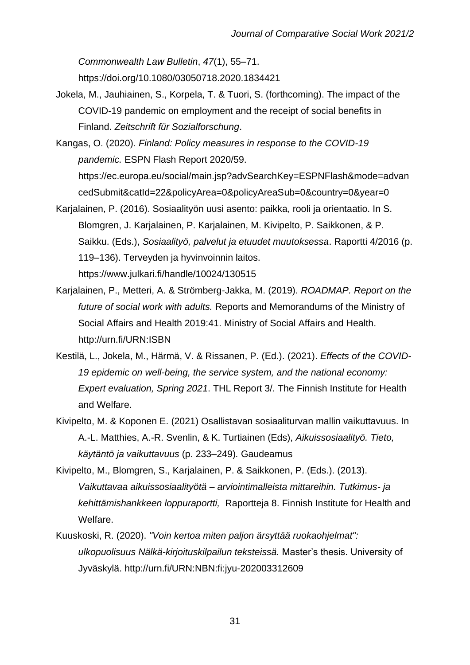*Commonwealth Law Bulletin*, *47*(1), 55–71. https://doi.org/10.1080/03050718.2020.1834421

- Jokela, M., Jauhiainen, S., Korpela, T. & Tuori, S. (forthcoming). The impact of the COVID-19 pandemic on employment and the receipt of social benefits in Finland. *Zeitschrift für Sozialforschung*.
- Kangas, O. (2020). *Finland: Policy measures in response to the COVID-19 pandemic.* ESPN Flash Report 2020/59.

https://ec.europa.eu/social/main.jsp?advSearchKey=ESPNFlash&mode=advan cedSubmit&catId=22&policyArea=0&policyAreaSub=0&country=0&year=0

- Karjalainen, P. (2016). Sosiaalityön uusi asento: paikka, rooli ja orientaatio. In S. Blomgren, J. Karjalainen, P. Karjalainen, M. Kivipelto, P. Saikkonen, & P. Saikku. (Eds.), *Sosiaalityö, palvelut ja etuudet muutoksessa*. Raportti 4/2016 (p. 119–136). Terveyden ja hyvinvoinnin laitos. https://www.julkari.fi/handle/10024/130515
- Karjalainen, P., Metteri, A. & Strömberg-Jakka, M. (2019). *ROADMAP. Report on the future of social work with adults.* Reports and Memorandums of the Ministry of Social Affairs and Health 2019:41. Ministry of Social Affairs and Health. http://urn.fi/URN:ISBN
- Kestilä, L., Jokela, M., Härmä, V. & Rissanen, P. (Ed.). (2021). *Effects of the COVID-19 epidemic on well-being, the service system, and the national economy: Expert evaluation, Spring 2021*. THL Report 3/. The Finnish Institute for Health and Welfare.
- Kivipelto, M. & Koponen E. (2021) Osallistavan sosiaaliturvan mallin vaikuttavuus. In A.-L. Matthies, A.-R. Svenlin, & K. Turtiainen (Eds), *Aikuissosiaalityö. Tieto, käytäntö ja vaikuttavuus* (p. 233–249)*.* Gaudeamus
- Kivipelto, M., Blomgren, S., Karjalainen, P. & Saikkonen, P. (Eds.). (2013). *Vaikuttavaa aikuissosiaalityötä – arviointimalleista mittareihin. Tutkimus- ja kehittämishankkeen loppuraportti,* Raportteja 8. Finnish Institute for Health and Welfare.
- Kuuskoski, R. (2020). *"Voin kertoa miten paljon ärsyttää ruokaohjelmat": ulkopuolisuus Nälkä-kirjoituskilpailun teksteissä.* Master's thesis. University of Jyväskylä. http://urn.fi/URN:NBN:fi:jyu-202003312609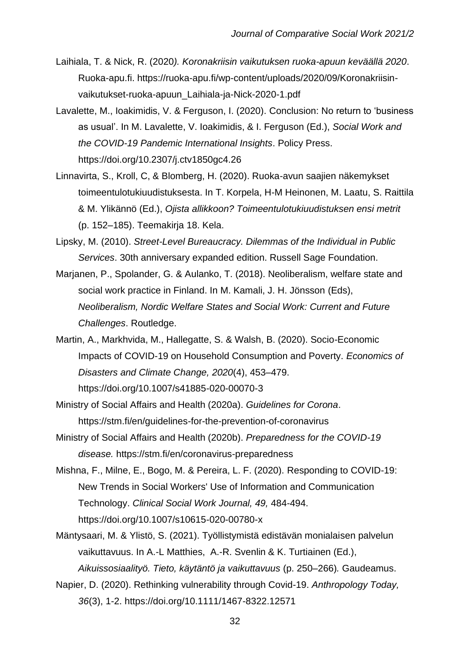- Laihiala, T. & Nick, R. (2020*). Koronakriisin vaikutuksen ruoka-apuun keväällä 2020*. Ruoka-apu.fi. https://ruoka-apu.fi/wp-content/uploads/2020/09/Koronakriisinvaikutukset-ruoka-apuun\_Laihiala-ja-Nick-2020-1.pdf
- Lavalette, M., Ioakimidis, V. & Ferguson, I. (2020). Conclusion: No return to 'business as usual'. In M. Lavalette, V. Ioakimidis, & I. Ferguson (Ed.), *Social Work and the COVID-19 Pandemic International Insights*. Policy Press. https://doi.org/10.2307/j.ctv1850gc4.26
- Linnavirta, S., Kroll, C, & Blomberg, H. (2020). Ruoka-avun saajien näkemykset toimeentulotukiuudistuksesta. In T. Korpela, H-M Heinonen, M. Laatu, S. Raittila & M. Ylikännö (Ed.), *Ojista allikkoon? Toimeentulotukiuudistuksen ensi metrit*  (p. 152–185). Teemakirja 18. Kela.
- Lipsky, M. (2010). *Street-Level Bureaucracy. Dilemmas of the Individual in Public Services*. 30th anniversary expanded edition. Russell Sage Foundation.
- Marjanen, P., Spolander, G. & Aulanko, T. (2018). Neoliberalism, welfare state and social work practice in Finland. In M. Kamali, J. H. Jönsson (Eds), *Neoliberalism, Nordic Welfare States and Social Work: Current and Future Challenges*. Routledge.
- Martin, A., Markhvida, M., Hallegatte, S. & Walsh, B. (2020). Socio-Economic Impacts of COVID-19 on Household Consumption and Poverty. *Economics of Disasters and Climate Change, 2020*(4), 453–479. https://doi.org/10.1007/s41885-020-00070-3
- Ministry of Social Affairs and Health (2020a). *Guidelines for Corona*. https://stm.fi/en/guidelines-for-the-prevention-of-coronavirus
- Ministry of Social Affairs and Health (2020b). *Preparedness for the COVID-19 disease.* https://stm.fi/en/coronavirus-preparedness
- Mishna, F., Milne, E., Bogo, M. & Pereira, L. F. (2020). Responding to COVID-19: New Trends in Social Workers' Use of Information and Communication Technology. *Clinical Social Work Journal, 49,* 484-494. https://doi.org/10.1007/s10615-020-00780-x
- Mäntysaari, M. & Ylistö, S. (2021). Työllistymistä edistävän monialaisen palvelun vaikuttavuus. In A.-L Matthies, A.-R. Svenlin & K. Turtiainen (Ed.), *Aikuissosiaalityö. Tieto, käytäntö ja vaikuttavuus* (p. 250–266)*.* Gaudeamus.
- Napier, D. (2020). Rethinking vulnerability through Covid-19. *Anthropology Today, 36*(3), 1-2. https://doi.org/10.1111/1467-8322.12571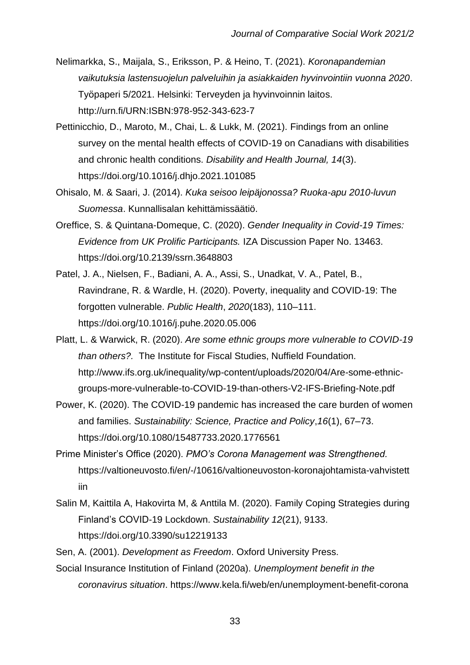- Nelimarkka, S., Maijala, S., Eriksson, P. & Heino, T. (2021). *Koronapandemian vaikutuksia lastensuojelun palveluihin ja asiakkaiden hyvinvointiin vuonna 2020*. Työpaperi 5/2021. Helsinki: Terveyden ja hyvinvoinnin laitos. http://urn.fi/URN:ISBN:978-952-343-623-7
- Pettinicchio, D., Maroto, M., Chai, L. & Lukk, M. (2021). Findings from an online survey on the mental health effects of COVID-19 on Canadians with disabilities and chronic health conditions. *Disability and Health Journal, 14*(3). https://doi.org/10.1016/j.dhjo.2021.101085
- Ohisalo, M. & Saari, J. (2014). *Kuka seisoo leipäjonossa? Ruoka-apu 2010-luvun Suomessa*. Kunnallisalan kehittämissäätiö.
- Oreffice, S. & Quintana-Domeque, C. (2020). *Gender Inequality in Covid-19 Times: Evidence from UK Prolific Participants.* IZA Discussion Paper No. 13463. https://doi.org/10.2139/ssrn.3648803
- Patel, J. A., Nielsen, F., Badiani, A. A., Assi, S., Unadkat, V. A., Patel, B., Ravindrane, R. & Wardle, H. (2020). Poverty, inequality and COVID-19: The forgotten vulnerable. *Public Health*, *2020*(183), 110–111. https://doi.org/10.1016/j.puhe.2020.05.006
- Platt, L. & Warwick, R. (2020). *Are some ethnic groups more vulnerable to COVID-19 than others?.* The Institute for Fiscal Studies, Nuffield Foundation. http://www.ifs.org.uk/inequality/wp-content/uploads/2020/04/Are-some-ethnicgroups-more-vulnerable-to-COVID-19-than-others-V2-IFS-Briefing-Note.pdf
- Power, K. (2020). The COVID-19 pandemic has increased the care burden of women and families. *Sustainability: Science, Practice and Policy*,*16*(1), 67–73. https://doi.org/10.1080/15487733.2020.1776561
- Prime Minister's Office (2020). *PMO's Corona Management was Strengthened.* https://valtioneuvosto.fi/en/-/10616/valtioneuvoston-koronajohtamista-vahvistett iin
- Salin M, Kaittila A, Hakovirta M, & Anttila M. (2020). Family Coping Strategies during Finland's COVID-19 Lockdown. *Sustainability 12*(21), 9133. https://doi.org/10.3390/su12219133
- Sen, A. (2001). *Development as Freedom*. Oxford University Press.
- Social Insurance Institution of Finland (2020a). *Unemployment benefit in the coronavirus situation*. https://www.kela.fi/web/en/unemployment-benefit-corona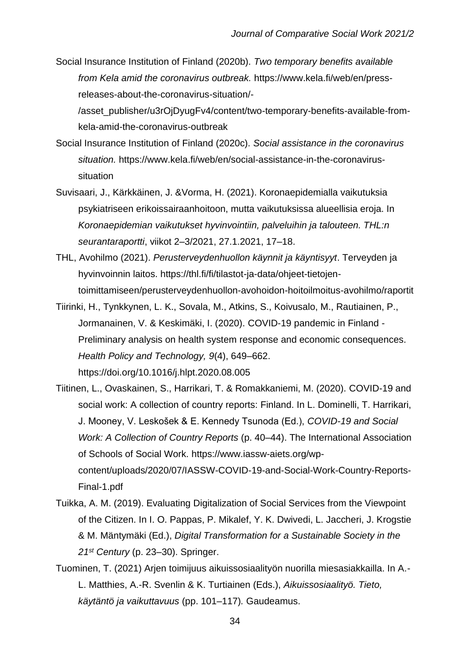Social Insurance Institution of Finland (2020b). *Two temporary benefits available from Kela amid the coronavirus outbreak.* https://www.kela.fi/web/en/pressreleases-about-the-coronavirus-situation/-

/asset\_publisher/u3rOjDyugFv4/content/two-temporary-benefits-available-fromkela-amid-the-coronavirus-outbreak

- Social Insurance Institution of Finland (2020c). *Social assistance in the coronavirus situation.* https://www.kela.fi/web/en/social-assistance-in-the-coronavirussituation
- Suvisaari, J., Kärkkäinen, J. &Vorma, H. (2021). Koronaepidemialla vaikutuksia psykiatriseen erikoissairaanhoitoon, mutta vaikutuksissa alueellisia eroja. In *Koronaepidemian vaikutukset hyvinvointiin, palveluihin ja talouteen. THL:n seurantaraportti*, viikot 2–3/2021, 27.1.2021, 17–18.
- THL, Avohilmo (2021). *Perusterveydenhuollon käynnit ja käyntisyyt*. Terveyden ja hyvinvoinnin laitos. https://thl.fi/fi/tilastot-ja-data/ohjeet-tietojentoimittamiseen/perusterveydenhuollon-avohoidon-hoitoilmoitus-avohilmo/raportit
- Tiirinki, H., Tynkkynen, L. K., Sovala, M., Atkins, S., Koivusalo, M., Rautiainen, P., Jormanainen, V. & Keskimäki, I. (2020). COVID-19 pandemic in Finland - Preliminary analysis on health system response and economic consequences. *Health Policy and Technology, 9*(4), 649–662. https://doi.org/10.1016/j.hlpt.2020.08.005
- Tiitinen, L., Ovaskainen, S., Harrikari, T. & Romakkaniemi, M. (2020). COVID-19 and social work: A collection of country reports: Finland. In L. Dominelli, T. Harrikari, J. Mooney, V. Leskošek & E. Kennedy Tsunoda (Ed.), *COVID-19 and Social Work: A Collection of Country Reports* (p. 40–44). The International Association of Schools of Social Work. https://www.iassw-aiets.org/wpcontent/uploads/2020/07/IASSW-COVID-19-and-Social-Work-Country-Reports-Final-1.pdf
- Tuikka, A. M. (2019). Evaluating Digitalization of Social Services from the Viewpoint of the Citizen. In I. O. Pappas, P. Mikalef, Y. K. Dwivedi, L. Jaccheri, J. Krogstie & M. Mäntymäki (Ed.), *Digital Transformation for a Sustainable Society in the 21st Century* (p. 23–30). Springer.
- Tuominen, T. (2021) Arjen toimijuus aikuissosiaalityön nuorilla miesasiakkailla. In A.- L. Matthies, A.-R. Svenlin & K. Turtiainen (Eds.), *Aikuissosiaalityö. Tieto, käytäntö ja vaikuttavuus* (pp. 101–117)*.* Gaudeamus.